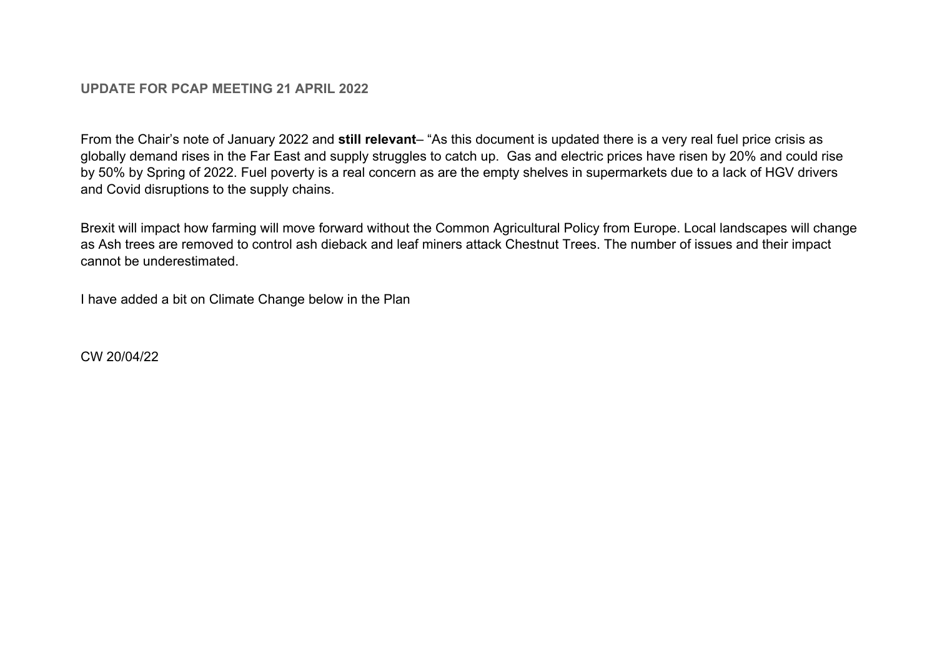## **UPDATE FOR PCAP MEETING 21 APRIL 2022**

From the Chair's note of January 2022 and **still relevant**– "As this document is updated there is a very real fuel price crisis as globally demand rises in the Far East and supply struggles to catch up. Gas and electric prices have risen by 20% and could rise by 50% by Spring of 2022. Fuel poverty is a real concern as are the empty shelves in supermarkets due to a lack of HGV drivers and Covid disruptions to the supply chains.

Brexit will impact how farming will move forward without the Common Agricultural Policy from Europe. Local landscapes will change as Ash trees are removed to control ash dieback and leaf miners attack Chestnut Trees. The number of issues and their impact cannot be underestimated.

I have added a bit on Climate Change below in the Plan

CW 20/04/22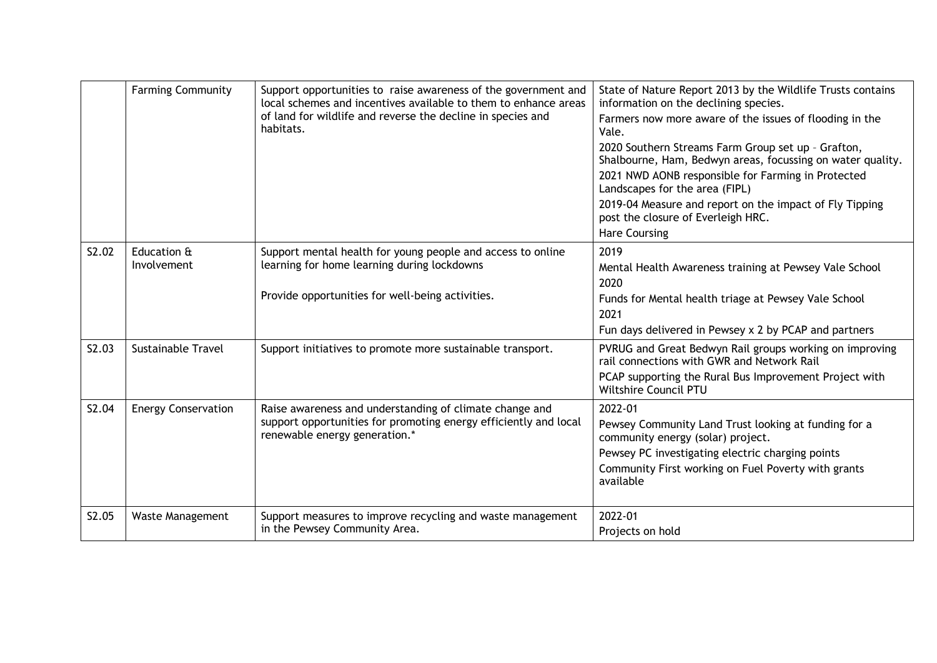|       | <b>Farming Community</b>   | Support opportunities to raise awareness of the government and<br>local schemes and incentives available to them to enhance areas<br>of land for wildlife and reverse the decline in species and<br>habitats. | State of Nature Report 2013 by the Wildlife Trusts contains<br>information on the declining species.<br>Farmers now more aware of the issues of flooding in the<br>Vale.<br>2020 Southern Streams Farm Group set up - Grafton,<br>Shalbourne, Ham, Bedwyn areas, focussing on water quality.<br>2021 NWD AONB responsible for Farming in Protected<br>Landscapes for the area (FIPL)<br>2019-04 Measure and report on the impact of Fly Tipping<br>post the closure of Everleigh HRC.<br><b>Hare Coursing</b> |
|-------|----------------------------|---------------------------------------------------------------------------------------------------------------------------------------------------------------------------------------------------------------|---------------------------------------------------------------------------------------------------------------------------------------------------------------------------------------------------------------------------------------------------------------------------------------------------------------------------------------------------------------------------------------------------------------------------------------------------------------------------------------------------------------|
| S2.02 | Education &<br>Involvement | Support mental health for young people and access to online<br>learning for home learning during lockdowns<br>Provide opportunities for well-being activities.                                                | 2019<br>Mental Health Awareness training at Pewsey Vale School<br>2020<br>Funds for Mental health triage at Pewsey Vale School<br>2021<br>Fun days delivered in Pewsey x 2 by PCAP and partners                                                                                                                                                                                                                                                                                                               |
| S2.03 | <b>Sustainable Travel</b>  | Support initiatives to promote more sustainable transport.                                                                                                                                                    | PVRUG and Great Bedwyn Rail groups working on improving<br>rail connections with GWR and Network Rail<br>PCAP supporting the Rural Bus Improvement Project with<br>Wiltshire Council PTU                                                                                                                                                                                                                                                                                                                      |
| S2.04 | <b>Energy Conservation</b> | Raise awareness and understanding of climate change and<br>support opportunities for promoting energy efficiently and local<br>renewable energy generation.*                                                  | 2022-01<br>Pewsey Community Land Trust looking at funding for a<br>community energy (solar) project.<br>Pewsey PC investigating electric charging points<br>Community First working on Fuel Poverty with grants<br>available                                                                                                                                                                                                                                                                                  |
| S2.05 | <b>Waste Management</b>    | Support measures to improve recycling and waste management<br>in the Pewsey Community Area.                                                                                                                   | 2022-01<br>Projects on hold                                                                                                                                                                                                                                                                                                                                                                                                                                                                                   |